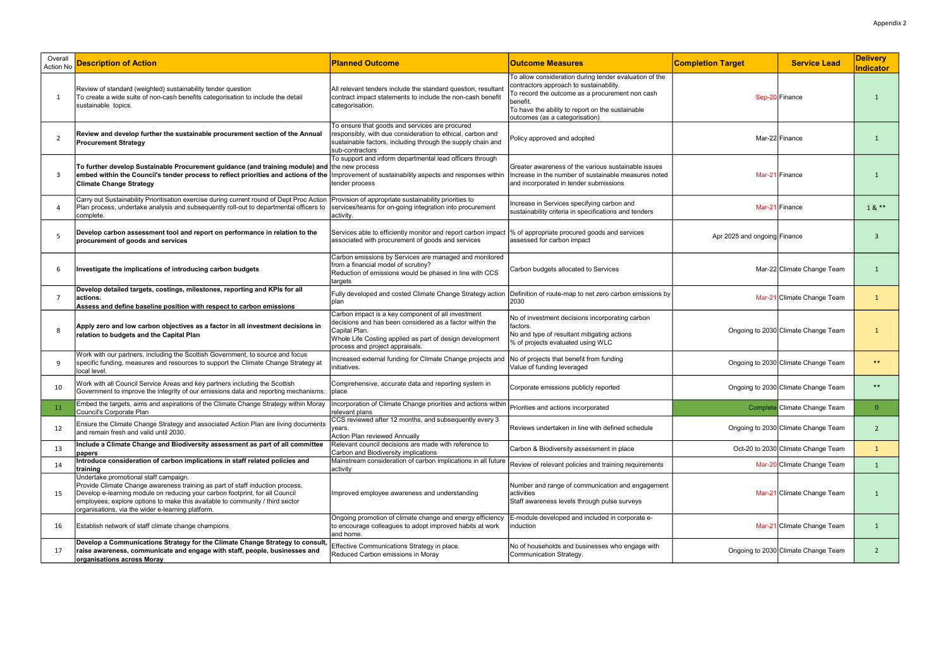| Overall<br>Action No | <b>Description of Action</b>                                                                                                                                                                                                                                                                                                                 | <b>Planned Outcome</b>                                                                                                                                                                                                         | <b>Outcome Measures</b>                                                                                                                                                                                                                                | <b>Completion Target</b>     | <b>Service Lead</b>                 | <b>Delivery</b><br>Indicator |
|----------------------|----------------------------------------------------------------------------------------------------------------------------------------------------------------------------------------------------------------------------------------------------------------------------------------------------------------------------------------------|--------------------------------------------------------------------------------------------------------------------------------------------------------------------------------------------------------------------------------|--------------------------------------------------------------------------------------------------------------------------------------------------------------------------------------------------------------------------------------------------------|------------------------------|-------------------------------------|------------------------------|
| $\overline{1}$       | Review of standard (weighted) sustainability tender question<br>To create a wide suite of non-cash benefits categorisation to include the detail<br>sustainable topics.                                                                                                                                                                      | All relevant tenders include the standard question, resultan<br>contract impact statements to include the non-cash benefit<br>categorisation.                                                                                  | To allow consideration during tender evaluation of the<br>contractors approach to sustainability.<br>To record the outcome as a procurement non cash<br>benefit.<br>To have the ability to report on the sustainable<br>outcomes (as a categorisation) |                              | Sep-20 Finance                      |                              |
| $\overline{2}$       | Review and develop further the sustainable procurement section of the Annual<br><b>Procurement Strategy</b>                                                                                                                                                                                                                                  | To ensure that goods and services are procured<br>responsibly, with due consideration to ethical, carbon and<br>sustainable factors, including through the supply chain and<br>sub-contractors                                 | Policy approved and adopted                                                                                                                                                                                                                            |                              | Mar-22 Finance                      |                              |
| -3                   | To further develop Sustainable Procurement guidance (and training module) and the new process<br>embed within the Council's tender process to reflect priorities and actions of the Improvement of sustainability aspects and responses within<br><b>Climate Change Strategy</b>                                                             | To support and inform departmental lead officers through<br>tender process                                                                                                                                                     | Greater awareness of the various sustainable issues<br>Increase in the number of sustainable measures noted<br>and incorporated in tender submissions                                                                                                  |                              | Mar-21 Finance                      |                              |
|                      | Carry out Sustainability Prioritisation exercise during current round of Dept Proc Action<br>Plan process, undertake analysis and subsequently roll-out to departmental officers to<br>complete.                                                                                                                                             | Provision of appropriate sustainability priorities to<br>services/teams for on-going integration into procurement<br>activity.                                                                                                 | Increase in Services specifying carbon and<br>sustainability criteria in specifications and tenders                                                                                                                                                    |                              | Mar-21 Finance                      | $18**$                       |
| -5                   | Develop carbon assessment tool and report on performance in relation to the<br>procurement of goods and services                                                                                                                                                                                                                             | Services able to efficiently monitor and report carbon impact<br>associated with procurement of goods and services                                                                                                             | % of appropriate procured goods and services<br>assessed for carbon impact                                                                                                                                                                             | Apr 2025 and ongoing Finance |                                     | 3                            |
| 6                    | Investigate the implications of introducing carbon budgets                                                                                                                                                                                                                                                                                   | Carbon emissions by Services are managed and monitored<br>from a financial model of scrutiny?<br>Reduction of emissions would be phased in line with CCS<br>targets                                                            | Carbon budgets allocated to Services                                                                                                                                                                                                                   |                              | Mar-22 Climate Change Team          | $\mathbf{1}$                 |
|                      | Develop detailed targets, costings, milestones, reporting and KPIs for all<br>actions.<br>Assess and define baseline position with respect to carbon emissions                                                                                                                                                                               | Fully developed and costed Climate Change Strategy action<br>plan                                                                                                                                                              | Definition of route-map to net zero carbon emissions by<br>2030                                                                                                                                                                                        |                              | Mar-21 Climate Change Team          | <sup>1</sup>                 |
|                      | Apply zero and low carbon objectives as a factor in all investment decisions in<br>relation to budgets and the Capital Plan                                                                                                                                                                                                                  | Carbon impact is a key component of all investment<br>decisions and has been considered as a factor within the<br>Capital Plan.<br>Whole Life Costing applied as part of design development<br>process and project appraisals. | No of investment decisions incorporating carbon<br>factors.<br>No and type of resultant mitigating actions<br>% of projects evaluated using WLC                                                                                                        |                              | Ongoing to 2030 Climate Change Team |                              |
| ٩                    | Work with our partners, including the Scottish Government, to source and focus<br>specific funding, measures and resources to support the Climate Change Strategy at<br>local level.                                                                                                                                                         | Increased external funding for Climate Change projects and<br>initiatives.                                                                                                                                                     | No of projects that benefit from funding<br>Value of funding leveraged                                                                                                                                                                                 |                              | Ongoing to 2030 Climate Change Team | $***$                        |
| 10                   | Work with all Council Service Areas and key partners including the Scottish<br>Government to improve the integrity of our emissions data and reporting mechanisms.                                                                                                                                                                           | Comprehensive, accurate data and reporting system in<br>place                                                                                                                                                                  | Corporate emissions publicly reported                                                                                                                                                                                                                  |                              | Ongoing to 2030 Climate Change Team | $***$                        |
|                      | Embed the targets, aims and aspirations of the Climate Change Strategy within Moray<br>Council's Corporate Plan                                                                                                                                                                                                                              | Incorporation of Climate Change priorities and actions within Priorities and actions incorporated<br>relevant plans                                                                                                            |                                                                                                                                                                                                                                                        |                              | Complete Climate Change Team        |                              |
| 12                   | Ensure the Climate Change Strategy and associated Action Plan are living documents<br>and remain fresh and valid until 2030.                                                                                                                                                                                                                 | CCS reviewed after 12 months, and subsequently every 3<br>years.<br>Action Plan reviewed Annually                                                                                                                              | Reviews undertaken in line with defined schedule                                                                                                                                                                                                       |                              | Ongoing to 2030 Climate Change Team | $\overline{2}$               |
| 13                   | Include a Climate Change and Biodiversity assessment as part of all committee<br>papers                                                                                                                                                                                                                                                      | Relevant council decisions are made with reference to<br>Carbon and Biodiversity implications                                                                                                                                  | Carbon & Biodiversity assessment in place                                                                                                                                                                                                              |                              | Oct-20 to 2030 Climate Change Team  | $\mathbf{1}$                 |
| 14                   | Introduce consideration of carbon implications in staff related policies and<br>training                                                                                                                                                                                                                                                     | Mainstream consideration of carbon implications in all future<br>activity                                                                                                                                                      | Review of relevant policies and training requirements                                                                                                                                                                                                  |                              | Mar-20 Climate Change Team          | 1                            |
| 15                   | Undertake promotional staff campaign.<br>Provide Climate Change awareness training as part of staff induction process.<br>Develop e-learning module on reducing your carbon footprint, for all Council<br>employees; explore options to make this available to community / third sector<br>organisations, via the wider e-learning platform. | Improved employee awareness and understanding                                                                                                                                                                                  | Number and range of communication and engagement<br>activities<br>Staff awareness levels through pulse surveys                                                                                                                                         |                              | Mar-21 Climate Change Team          | 1                            |
| 16                   | Establish network of staff climate change champions                                                                                                                                                                                                                                                                                          | Ongoing promotion of climate change and energy efficiency<br>to encourage colleagues to adopt improved habits at work<br>and home.                                                                                             | E-module developed and included in corporate e-<br>induction                                                                                                                                                                                           |                              | Mar-21 Climate Change Team          | 1                            |
| 17                   | Develop a Communications Strategy for the Climate Change Strategy to consult,<br>raise awareness, communicate and engage with staff, people, businesses and<br>organisations across Moray                                                                                                                                                    | Effective Communications Strategy in place.<br>Reduced Carbon emissions in Moray                                                                                                                                               | No of households and businesses who engage with<br>Communication Strategy.                                                                                                                                                                             |                              | Ongoing to 2030 Climate Change Team | $\overline{2}$               |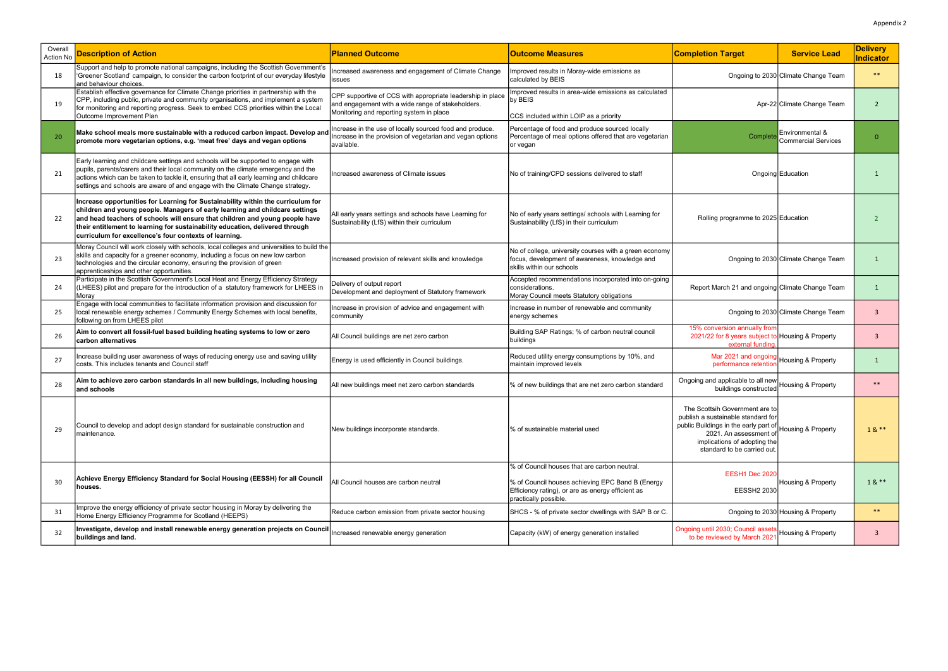| Overall<br>Action No | <b>Description of Action</b>                                                                                                                                                                                                                                                                                                                                                                | <b>Planned Outcome</b>                                                                                                                                      | <b>Outcome Measures</b>                                                                                                                                                        | <b>Completion Target</b>                                                                                                                                                                               | <b>Service Lead</b>                    | <b>Delivery</b><br>Indicator |
|----------------------|---------------------------------------------------------------------------------------------------------------------------------------------------------------------------------------------------------------------------------------------------------------------------------------------------------------------------------------------------------------------------------------------|-------------------------------------------------------------------------------------------------------------------------------------------------------------|--------------------------------------------------------------------------------------------------------------------------------------------------------------------------------|--------------------------------------------------------------------------------------------------------------------------------------------------------------------------------------------------------|----------------------------------------|------------------------------|
| 18                   | Support and help to promote national campaigns, including the Scottish Government's<br>'Greener Scotland' campaign, to consider the carbon footprint of our everyday lifestyle<br>and behaviour choices.                                                                                                                                                                                    | ncreased awareness and engagement of Climate Change<br>issues                                                                                               | Improved results in Moray-wide emissions as<br>calculated by BEIS                                                                                                              |                                                                                                                                                                                                        | Ongoing to 2030 Climate Change Team    | $***$                        |
| 19                   | Establish effective governance for Climate Change priorities in partnership with the<br>CPP, including public, private and community organisations, and implement a system<br>for monitoring and reporting progress. Seek to embed CCS priorities within the Local<br>Outcome Improvement Plan                                                                                              | CPP supportive of CCS with appropriate leadership in place<br>and engagement with a wide range of stakeholders.<br>Monitoring and reporting system in place | Improved results in area-wide emissions as calculated<br>by BEIS<br>CCS included within LOIP as a priority                                                                     |                                                                                                                                                                                                        | Apr-22 Climate Change Team             |                              |
| 20                   | Make school meals more sustainable with a reduced carbon impact. Develop and<br>promote more vegetarian options, e.g. 'meat free' days and vegan options                                                                                                                                                                                                                                    | Increase in the use of locally sourced food and produce.<br>ncrease in the provision of vegetarian and vegan options<br>available.                          | Percentage of food and produce sourced locally<br>Percentage of meal options offered that are vegetarian<br>or vegan                                                           | Complet                                                                                                                                                                                                | Environmental &<br>Commercial Services | $\Omega$                     |
| 21                   | Early learning and childcare settings and schools will be supported to engage with<br>pupils, parents/carers and their local community on the climate emergency and the<br>actions which can be taken to tackle it, ensuring that all early learning and childcare<br>settings and schools are aware of and engage with the Climate Change strategy.                                        | Increased awareness of Climate issues                                                                                                                       | No of training/CPD sessions delivered to staff                                                                                                                                 |                                                                                                                                                                                                        | Ongoing Education                      |                              |
| -22                  | Increase opportunities for Learning for Sustainability within the curriculum for<br>children and young people. Managers of early learning and childcare settings<br>and head teachers of schools will ensure that children and young people have<br>their entitlement to learning for sustainability education, delivered through<br>curriculum for excellence's four contexts of learning. | All early years settings and schools have Learning for<br>Sustainability (LfS) within their curriculum                                                      | No of early years settings/ schools with Learning for<br>Sustainability (LfS) in their curriculum                                                                              | Rolling programme to 2025 Education                                                                                                                                                                    |                                        |                              |
| 23                   | Moray Council will work closely with schools, local colleges and universities to build the<br>skills and capacity for a greener economy, including a focus on new low carbon<br>technologies and the circular economy, ensuring the provision of green<br>apprenticeships and other opportunities.                                                                                          | Increased provision of relevant skills and knowledge                                                                                                        | No of college, university courses with a green economy<br>focus, development of awareness, knowledge and<br>skills within our schools                                          |                                                                                                                                                                                                        | Ongoing to 2030 Climate Change Team    |                              |
| -24                  | Participate in the Scottish Government's Local Heat and Energy Efficiency Strategy<br>(LHEES) pilot and prepare for the introduction of a statutory framework for LHEES in<br>Moray                                                                                                                                                                                                         | Delivery of output report<br>Development and deployment of Statutory framework                                                                              | Accepted recommendations incorporated into on-going<br>considerations.<br>Moray Council meets Statutory obligations                                                            | Report March 21 and ongoing Climate Change Team                                                                                                                                                        |                                        |                              |
| 25                   | Engage with local communities to facilitate information provision and discussion for<br>local renewable energy schemes / Community Energy Schemes with local benefits,<br>following on from LHEES pilot                                                                                                                                                                                     | Increase in provision of advice and engagement with<br>community                                                                                            | Increase in number of renewable and community<br>energy schemes                                                                                                                |                                                                                                                                                                                                        | Ongoing to 2030 Climate Change Team    | 3                            |
| 26                   | Aim to convert all fossil-fuel based building heating systems to low or zero<br>carbon alternatives                                                                                                                                                                                                                                                                                         | All Council buildings are net zero carbon                                                                                                                   | Building SAP Ratings; % of carbon neutral council<br>buildings                                                                                                                 | 15% conversion annually from<br>2021/22 for 8 years subject to Housing & Property<br>external funding                                                                                                  |                                        | $\overline{3}$               |
| 27                   | Increase building user awareness of ways of reducing energy use and saving utility<br>costs. This includes tenants and Council staff                                                                                                                                                                                                                                                        | Energy is used efficiently in Council buildings.                                                                                                            | Reduced utility energy consumptions by 10%, and<br>maintain improved levels                                                                                                    | Mar 2021 and ongoing<br>performance retention                                                                                                                                                          | Housing & Property                     |                              |
| 28                   | Aim to achieve zero carbon standards in all new buildings, including housing<br>and schools                                                                                                                                                                                                                                                                                                 | All new buildings meet net zero carbon standards                                                                                                            | % of new buildings that are net zero carbon standard                                                                                                                           | Ongoing and applicable to all new<br>buildings constructed                                                                                                                                             | Housing & Property                     | $***$                        |
| 29                   | Council to develop and adopt design standard for sustainable construction and<br>maintenance.                                                                                                                                                                                                                                                                                               | New buildings incorporate standards.                                                                                                                        | % of sustainable material used                                                                                                                                                 | The Scottsih Government are to<br>publish a sustainable standard for<br>public Buildings in the early part of<br>2021. An assessment of<br>implications of adopting the<br>standard to be carried out. | Housing & Property                     | $18**$                       |
| 30                   | Achieve Energy Efficiency Standard for Social Housing (EESSH) for all Council<br>houses.                                                                                                                                                                                                                                                                                                    | All Council houses are carbon neutral                                                                                                                       | % of Council houses that are carbon neutral.<br>% of Council houses achieving EPC Band B (Energy<br>Efficiency rating), or are as energy efficient as<br>practically possible. | EESH1 Dec 2020<br><b>EESSH2 2030</b>                                                                                                                                                                   | Housing & Property                     | $18***$                      |
| 31                   | Improve the energy efficiency of private sector housing in Moray by delivering the<br>Home Energy Efficiency Programme for Scotland (HEEPS)                                                                                                                                                                                                                                                 | Reduce carbon emission from private sector housing                                                                                                          | SHCS - % of private sector dwellings with SAP B or C.                                                                                                                          |                                                                                                                                                                                                        | Ongoing to 2030 Housing & Property     | $***$                        |
| 32                   | Investigate, develop and install renewable energy generation projects on Counci<br>buildings and land.                                                                                                                                                                                                                                                                                      | Increased renewable energy generation                                                                                                                       | Capacity (kW) of energy generation installed                                                                                                                                   | Ongoing until 2030; Council assets<br>to be reviewed by March 2021                                                                                                                                     | Housing & Property                     | $\mathbf{3}$                 |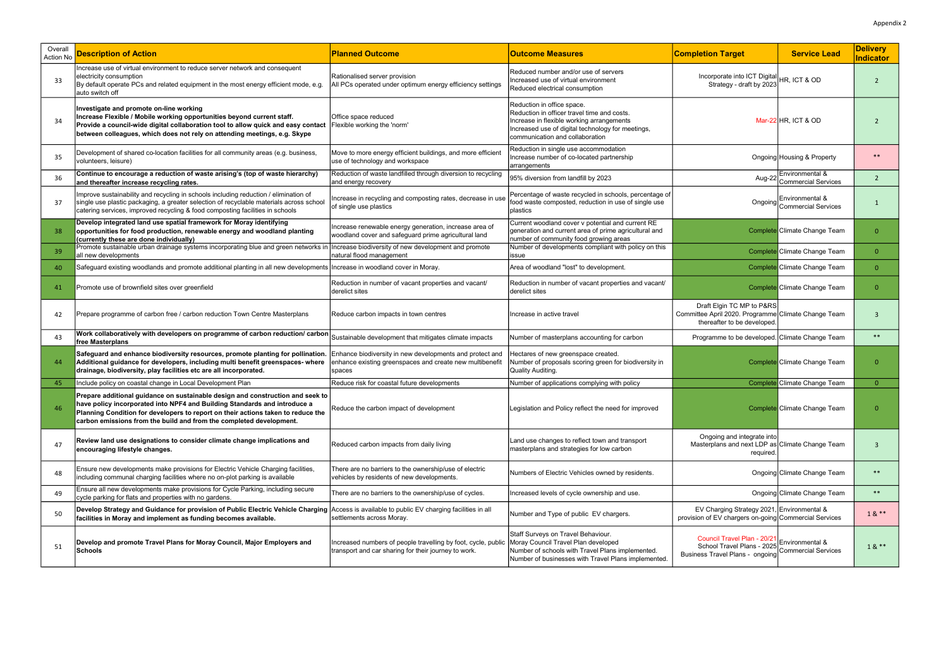| Overall<br>Action No | <b>Description of Action</b>                                                                                                                                                                                                                                                                                           | <b>Planned Outcome</b>                                                                                                         | <b>Outcome Measures</b>                                                                                                                                                                                        | <b>Completion Target</b>                                                                                        | <b>Service Lead</b>                            | <b>Delivery</b><br>Indicator |
|----------------------|------------------------------------------------------------------------------------------------------------------------------------------------------------------------------------------------------------------------------------------------------------------------------------------------------------------------|--------------------------------------------------------------------------------------------------------------------------------|----------------------------------------------------------------------------------------------------------------------------------------------------------------------------------------------------------------|-----------------------------------------------------------------------------------------------------------------|------------------------------------------------|------------------------------|
| 33                   | Increase use of virtual environment to reduce server network and consequent<br>electricity consumption<br>By default operate PCs and related equipment in the most energy efficient mode, e.g.<br>auto switch off                                                                                                      | Rationalised server provision<br>All PCs operated under optimum energy efficiency settings                                     | Reduced number and/or use of servers<br>Increased use of virtual environment<br>Reduced electrical consumption                                                                                                 | Incorporate into ICT Digital HR, ICT & OD<br>Strategy - draft by 2023                                           |                                                | 2                            |
| 34                   | Investigate and promote on-line working<br>Increase Flexible / Mobile working opportunities beyond current staff.<br>Provide a council-wide digital collaboration tool to allow quick and easy contact<br>between colleagues, which does not rely on attending meetings, e.g. Skype                                    | Office space reduced<br>Flexible working the 'norm'                                                                            | Reduction in office space.<br>Reduction in officer travel time and costs.<br>Increase in flexible working arrangements<br>Increased use of digital technology for meetings,<br>communication and collaboration |                                                                                                                 | Mar-22 HR. ICT & OD                            | $\mathcal{P}$                |
| 35                   | Development of shared co-location facilities for all community areas (e.g. business,<br>volunteers, leisure)                                                                                                                                                                                                           | Move to more energy efficient buildings, and more efficient<br>use of technology and workspace                                 | Reduction in single use accommodation<br>Increase number of co-located partnership<br>arrangements                                                                                                             |                                                                                                                 | Ongoing Housing & Property                     | $***$                        |
| 36                   | Continue to encourage a reduction of waste arising's (top of waste hierarchy)<br>and thereafter increase recycling rates.                                                                                                                                                                                              | Reduction of waste landfilled through diversion to recycling<br>and energy recovery                                            | 95% diversion from landfill by 2023                                                                                                                                                                            | Aug-22                                                                                                          | Environmental &<br>Commercial Services         | 2                            |
| 37                   | Improve sustainability and recycling in schools including reduction / elimination of<br>single use plastic packaging, a greater selection of recyclable materials across school<br>catering services, improved recycling & food composting facilities in schools                                                       | Increase in recycling and composting rates, decrease in use<br>of single use plastics                                          | Percentage of waste recycled in schools, percentage of<br>food waste composted, reduction in use of single use<br>plastics                                                                                     |                                                                                                                 | Environmental &<br>Ongoing Commercial Services | $\mathbf{1}$                 |
|                      | Develop integrated land use spatial framework for Moray identifying<br>opportunities for food production, renewable energy and woodland planting<br>(currently these are done individually)                                                                                                                            | Increase renewable energy generation, increase area of<br>woodland cover and safeguard prime agricultural land                 | Current woodland cover v potential and current RE<br>generation and current area of prime agricultural and<br>number of community food growing areas                                                           |                                                                                                                 | Complete Climate Change Team                   | $\Omega$                     |
| 39                   | Promote sustainable urban drainage systems incorporating blue and green networks in<br>all new developments                                                                                                                                                                                                            | Increase biodiversity of new development and promote<br>natural flood management                                               | Number of developments compliant with policy on this<br>issue                                                                                                                                                  |                                                                                                                 | Complete Climate Change Team                   | 0                            |
| 40                   | Safeguard existing woodlands and promote additional planting in all new developments Increase in woodland cover in Moray.                                                                                                                                                                                              |                                                                                                                                | Area of woodland "lost" to development.                                                                                                                                                                        |                                                                                                                 | Complete Climate Change Team                   | $\overline{0}$               |
| 41                   | Promote use of brownfield sites over greenfield                                                                                                                                                                                                                                                                        | Reduction in number of vacant properties and vacant/<br>derelict sites                                                         | Reduction in number of vacant properties and vacant/<br>derelict sites                                                                                                                                         |                                                                                                                 | Complete Climate Change Team                   | $\Omega$                     |
| 42                   | Prepare programme of carbon free / carbon reduction Town Centre Masterplans                                                                                                                                                                                                                                            | Reduce carbon impacts in town centres                                                                                          | Increase in active travel                                                                                                                                                                                      | Draft Elgin TC MP to P&RS<br>Committee April 2020. Programme Climate Change Team<br>thereafter to be developed. |                                                | $\mathbf{3}$                 |
| 43                   | Work collaboratively with developers on programme of carbon reduction/ carbon<br>free Masterplans                                                                                                                                                                                                                      | Sustainable development that mitigates climate impacts                                                                         | Number of masterplans accounting for carbon                                                                                                                                                                    | Programme to be developed. Climate Change Team                                                                  |                                                | $***$                        |
| 44                   | Safeguard and enhance biodiversity resources, promote planting for pollination.<br>Additional guidance for developers, including multi benefit greenspaces- where<br>drainage, biodiversity, play facilities etc are all incorporated.                                                                                 | Enhance biodiversity in new developments and protect and<br>enhance existing greenspaces and create new multibenefit<br>spaces | Hectares of new greenspace created.<br>Number of proposals scoring green for biodiversity in<br>Quality Auditing.                                                                                              |                                                                                                                 | Complete Climate Change Team                   | $\Omega$                     |
| 45                   | Include policy on coastal change in Local Development Plan                                                                                                                                                                                                                                                             | Reduce risk for coastal future developments                                                                                    | Number of applications complying with policy                                                                                                                                                                   |                                                                                                                 | Complete Climate Change Team                   | $\overline{0}$               |
| 46                   | Prepare additional guidance on sustainable design and construction and seek to<br>have policy incorporated into NPF4 and Building Standards and introduce a<br>Planning Condition for developers to report on their actions taken to reduce the<br>carbon emissions from the build and from the completed development. | Reduce the carbon impact of development                                                                                        | Legislation and Policy reflect the need for improved                                                                                                                                                           |                                                                                                                 | Complete Climate Change Team                   | $\Omega$                     |
| 47                   | Review land use designations to consider climate change implications and<br>encouraging lifestyle changes.                                                                                                                                                                                                             | Reduced carbon impacts from daily living                                                                                       | Land use changes to reflect town and transport<br>masterplans and strategies for low carbon                                                                                                                    | Ongoing and integrate into<br>Masterplans and next LDP as Climate Change Team<br>required.                      |                                                | -3                           |
| 48                   | Ensure new developments make provisions for Electric Vehicle Charging facilities,<br>including communal charging facilities where no on-plot parking is available                                                                                                                                                      | There are no barriers to the ownership/use of electric<br>vehicles by residents of new developments.                           | Numbers of Electric Vehicles owned by residents.                                                                                                                                                               |                                                                                                                 | Ongoing Climate Change Team                    | $***$                        |
| 49                   | Ensure all new developments make provisions for Cycle Parking, including secure<br>cycle parking for flats and properties with no gardens.                                                                                                                                                                             | There are no barriers to the ownership/use of cycles.                                                                          | Increased levels of cycle ownership and use.                                                                                                                                                                   |                                                                                                                 | Ongoing Climate Change Team                    | $***$                        |
| 50                   | Develop Strategy and Guidance for provision of Public Electric Vehicle Charging<br>facilities in Moray and implement as funding becomes available.                                                                                                                                                                     | Access is available to public EV charging facilities in all<br>settlements across Moray.                                       | Number and Type of public EV chargers.                                                                                                                                                                         | EV Charging Strategy 2021, Environmental &<br>provision of EV chargers on-going Commercial Services             |                                                | $18**$                       |
| 51                   | Develop and promote Travel Plans for Moray Council, Major Employers and<br><b>Schools</b>                                                                                                                                                                                                                              | Increased numbers of people travelling by foot, cycle, public<br>transport and car sharing for their journey to work.          | Staff Surveys on Travel Behaviour.<br>Moray Council Travel Plan developed<br>Number of schools with Travel Plans implemented.<br>Number of businesses with Travel Plans implemented.                           | Council Travel Plan - 20/21<br>School Travel Plans - 2025<br>Business Travel Plans - ongoing                    | Environmental &<br>Commercial Services         | $18**$                       |